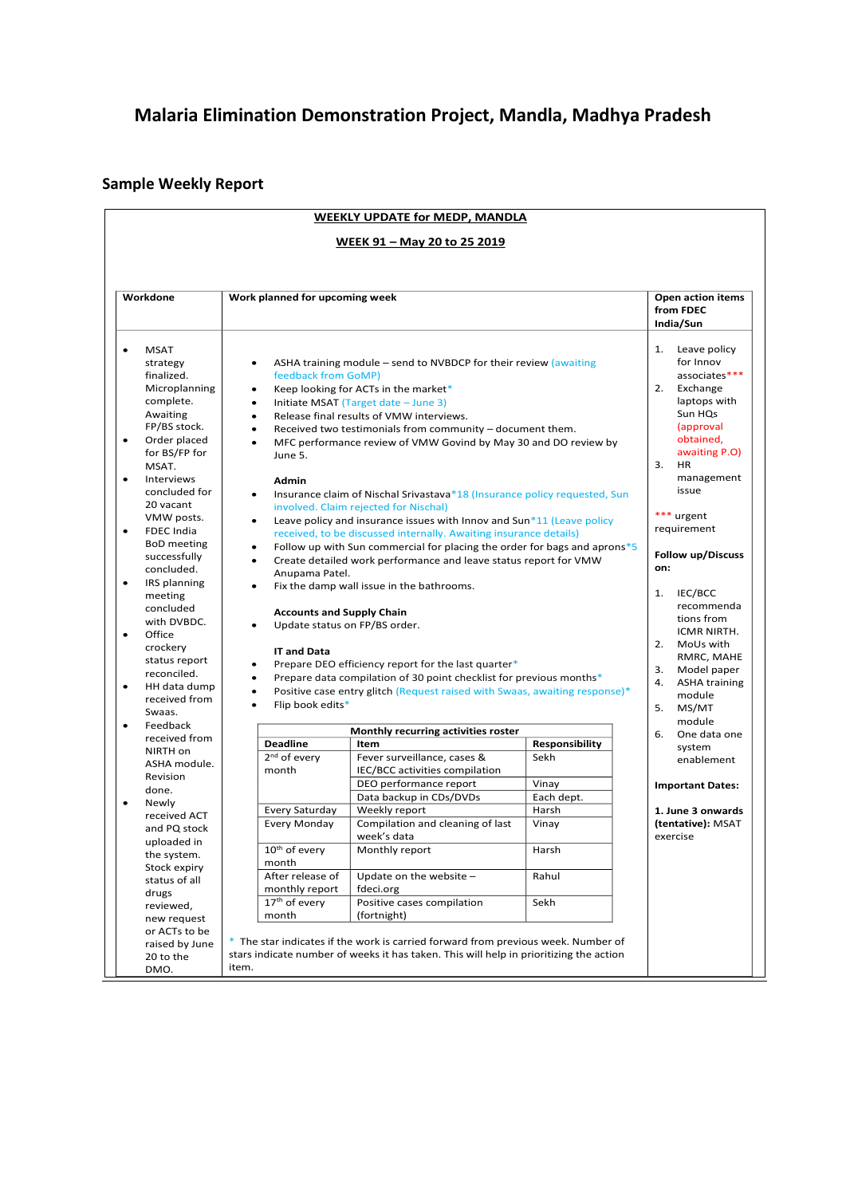## **Malaria Elimination Demonstration Project, Mandla, Madhya Pradesh**

## **Sample Weekly Report**

| <b>WEEKLY UPDATE for MEDP, MANDLA</b><br><u> WEEK 91 - May 20 to 25 2019</u>                                                                                                                                                                        |                                                                                                                                                                                                                                                                                                   |                                                                                                                                             |                                                                                                                                                                          |                                                                                                                                                                                                                                                                                                                                                                                                                                                                                                                                                                                                                                                                                                                                                                                                                                                                                                                                                                                                               |                        |    |                                                                                                                                                                                                                                                                                                                                                                                                     |  |  |
|-----------------------------------------------------------------------------------------------------------------------------------------------------------------------------------------------------------------------------------------------------|---------------------------------------------------------------------------------------------------------------------------------------------------------------------------------------------------------------------------------------------------------------------------------------------------|---------------------------------------------------------------------------------------------------------------------------------------------|--------------------------------------------------------------------------------------------------------------------------------------------------------------------------|---------------------------------------------------------------------------------------------------------------------------------------------------------------------------------------------------------------------------------------------------------------------------------------------------------------------------------------------------------------------------------------------------------------------------------------------------------------------------------------------------------------------------------------------------------------------------------------------------------------------------------------------------------------------------------------------------------------------------------------------------------------------------------------------------------------------------------------------------------------------------------------------------------------------------------------------------------------------------------------------------------------|------------------------|----|-----------------------------------------------------------------------------------------------------------------------------------------------------------------------------------------------------------------------------------------------------------------------------------------------------------------------------------------------------------------------------------------------------|--|--|
| Workdone                                                                                                                                                                                                                                            |                                                                                                                                                                                                                                                                                                   | Work planned for upcoming week                                                                                                              |                                                                                                                                                                          |                                                                                                                                                                                                                                                                                                                                                                                                                                                                                                                                                                                                                                                                                                                                                                                                                                                                                                                                                                                                               |                        |    | Open action items<br>from FDEC<br>India/Sun                                                                                                                                                                                                                                                                                                                                                         |  |  |
| <b>MSAT</b><br>$\bullet$<br>strategy<br>finalized.<br>complete.<br>Awaiting<br>$\bullet$<br>MSAT.<br>$\bullet$<br>20 vacant<br>$\bullet$<br>$\bullet$<br>meeting<br>Office<br>$\bullet$<br>crockery<br>$\bullet$<br>Swaas.<br>Feedback<br>$\bullet$ | Microplanning<br>FP/BS stock.<br>Order placed<br>for BS/FP for<br>Interviews<br>concluded for<br>VMW posts.<br><b>FDEC</b> India<br><b>BoD</b> meeting<br>successfully<br>concluded.<br>IRS planning<br>concluded<br>with DVBDC.<br>status report<br>reconciled.<br>HH data dump<br>received from | $\bullet$<br>$\bullet$<br>$\bullet$<br>$\bullet$<br>$\bullet$<br>$\bullet$<br>$\bullet$<br>$\bullet$<br>$\bullet$<br>$\bullet$<br>$\bullet$ | feedback from GoMP)<br>June 5.<br>Admin<br>Anupama Patel.<br><b>Accounts and Supply Chain</b><br>Update status on FP/BS order.<br><b>IT and Data</b><br>Flip book edits* | ASHA training module – send to NVBDCP for their review (awaiting<br>Keep looking for ACTs in the market*<br>Initiate MSAT (Target date - June 3)<br>Release final results of VMW interviews.<br>Received two testimonials from community - document them.<br>MFC performance review of VMW Govind by May 30 and DO review by<br>Insurance claim of Nischal Srivastava*18 (Insurance policy requested, Sun<br>involved. Claim rejected for Nischal)<br>Leave policy and insurance issues with Innov and Sun*11 (Leave policy<br>received, to be discussed internally. Awaiting insurance details)<br>Follow up with Sun commercial for placing the order for bags and aprons $*5$<br>Create detailed work performance and leave status report for VMW<br>Fix the damp wall issue in the bathrooms.<br>Prepare DEO efficiency report for the last quarter*<br>Prepare data compilation of 30 point checklist for previous months*<br>Positive case entry glitch (Request raised with Swaas, awaiting response)* |                        | 5. | 1.<br>Leave policy<br>for Innov<br>associates***<br>2.<br>Exchange<br>laptops with<br>Sun HQs<br>(approval<br>obtained,<br>awaiting P.O)<br>3.<br><b>HR</b><br>management<br>issue<br>*** urgent<br>requirement<br><b>Follow up/Discuss</b><br>on:<br>1. IEC/BCC<br>recommenda<br>tions from<br>ICMR NIRTH.<br>2. MoUs with<br>RMRC, MAHE<br>3. Model paper<br>4.<br><b>ASHA training</b><br>module |  |  |
|                                                                                                                                                                                                                                                     | received from                                                                                                                                                                                                                                                                                     |                                                                                                                                             | <b>Deadline</b>                                                                                                                                                          | Monthly recurring activities roster<br>Item                                                                                                                                                                                                                                                                                                                                                                                                                                                                                                                                                                                                                                                                                                                                                                                                                                                                                                                                                                   |                        | 6. | One data one                                                                                                                                                                                                                                                                                                                                                                                        |  |  |
| NIRTH on<br>Revision                                                                                                                                                                                                                                | ASHA module.                                                                                                                                                                                                                                                                                      |                                                                                                                                             | 2 <sup>nd</sup> of every<br>month                                                                                                                                        | Fever surveillance, cases &<br>IEC/BCC activities compilation                                                                                                                                                                                                                                                                                                                                                                                                                                                                                                                                                                                                                                                                                                                                                                                                                                                                                                                                                 | Responsibility<br>Sekh |    | system<br>enablement                                                                                                                                                                                                                                                                                                                                                                                |  |  |
| done.                                                                                                                                                                                                                                               |                                                                                                                                                                                                                                                                                                   |                                                                                                                                             |                                                                                                                                                                          | DEO performance report                                                                                                                                                                                                                                                                                                                                                                                                                                                                                                                                                                                                                                                                                                                                                                                                                                                                                                                                                                                        | Vinay                  |    | <b>Important Dates:</b>                                                                                                                                                                                                                                                                                                                                                                             |  |  |
| Newly<br>$\bullet$                                                                                                                                                                                                                                  |                                                                                                                                                                                                                                                                                                   |                                                                                                                                             |                                                                                                                                                                          | Data backup in CDs/DVDs                                                                                                                                                                                                                                                                                                                                                                                                                                                                                                                                                                                                                                                                                                                                                                                                                                                                                                                                                                                       | Each dept.             |    |                                                                                                                                                                                                                                                                                                                                                                                                     |  |  |
|                                                                                                                                                                                                                                                     | received ACT                                                                                                                                                                                                                                                                                      |                                                                                                                                             | Every Saturday                                                                                                                                                           | Weekly report                                                                                                                                                                                                                                                                                                                                                                                                                                                                                                                                                                                                                                                                                                                                                                                                                                                                                                                                                                                                 | Harsh                  |    | 1. June 3 onwards                                                                                                                                                                                                                                                                                                                                                                                   |  |  |
|                                                                                                                                                                                                                                                     | and PQ stock<br>uploaded in                                                                                                                                                                                                                                                                       |                                                                                                                                             | Every Monday                                                                                                                                                             | Compilation and cleaning of last<br>week's data                                                                                                                                                                                                                                                                                                                                                                                                                                                                                                                                                                                                                                                                                                                                                                                                                                                                                                                                                               | Vinay                  |    | (tentative): MSAT<br>exercise                                                                                                                                                                                                                                                                                                                                                                       |  |  |
|                                                                                                                                                                                                                                                     | the system.<br>Stock expiry                                                                                                                                                                                                                                                                       |                                                                                                                                             | 10 <sup>th</sup> of every<br>month                                                                                                                                       | Monthly report                                                                                                                                                                                                                                                                                                                                                                                                                                                                                                                                                                                                                                                                                                                                                                                                                                                                                                                                                                                                | Harsh                  |    |                                                                                                                                                                                                                                                                                                                                                                                                     |  |  |
|                                                                                                                                                                                                                                                     | status of all                                                                                                                                                                                                                                                                                     |                                                                                                                                             | After release of                                                                                                                                                         | Update on the website -                                                                                                                                                                                                                                                                                                                                                                                                                                                                                                                                                                                                                                                                                                                                                                                                                                                                                                                                                                                       | Rahul                  |    |                                                                                                                                                                                                                                                                                                                                                                                                     |  |  |
| drugs                                                                                                                                                                                                                                               |                                                                                                                                                                                                                                                                                                   |                                                                                                                                             | monthly report                                                                                                                                                           | fdeci.org                                                                                                                                                                                                                                                                                                                                                                                                                                                                                                                                                                                                                                                                                                                                                                                                                                                                                                                                                                                                     |                        |    |                                                                                                                                                                                                                                                                                                                                                                                                     |  |  |
| reviewed,                                                                                                                                                                                                                                           | new request                                                                                                                                                                                                                                                                                       |                                                                                                                                             | 17 <sup>th</sup> of every<br>month                                                                                                                                       | Positive cases compilation<br>(fortnight)                                                                                                                                                                                                                                                                                                                                                                                                                                                                                                                                                                                                                                                                                                                                                                                                                                                                                                                                                                     | Sekh                   |    |                                                                                                                                                                                                                                                                                                                                                                                                     |  |  |
| 20 to the<br>DMO.                                                                                                                                                                                                                                   | or ACTs to be<br>raised by June                                                                                                                                                                                                                                                                   | item.                                                                                                                                       |                                                                                                                                                                          | * The star indicates if the work is carried forward from previous week. Number of<br>stars indicate number of weeks it has taken. This will help in prioritizing the action                                                                                                                                                                                                                                                                                                                                                                                                                                                                                                                                                                                                                                                                                                                                                                                                                                   |                        |    |                                                                                                                                                                                                                                                                                                                                                                                                     |  |  |